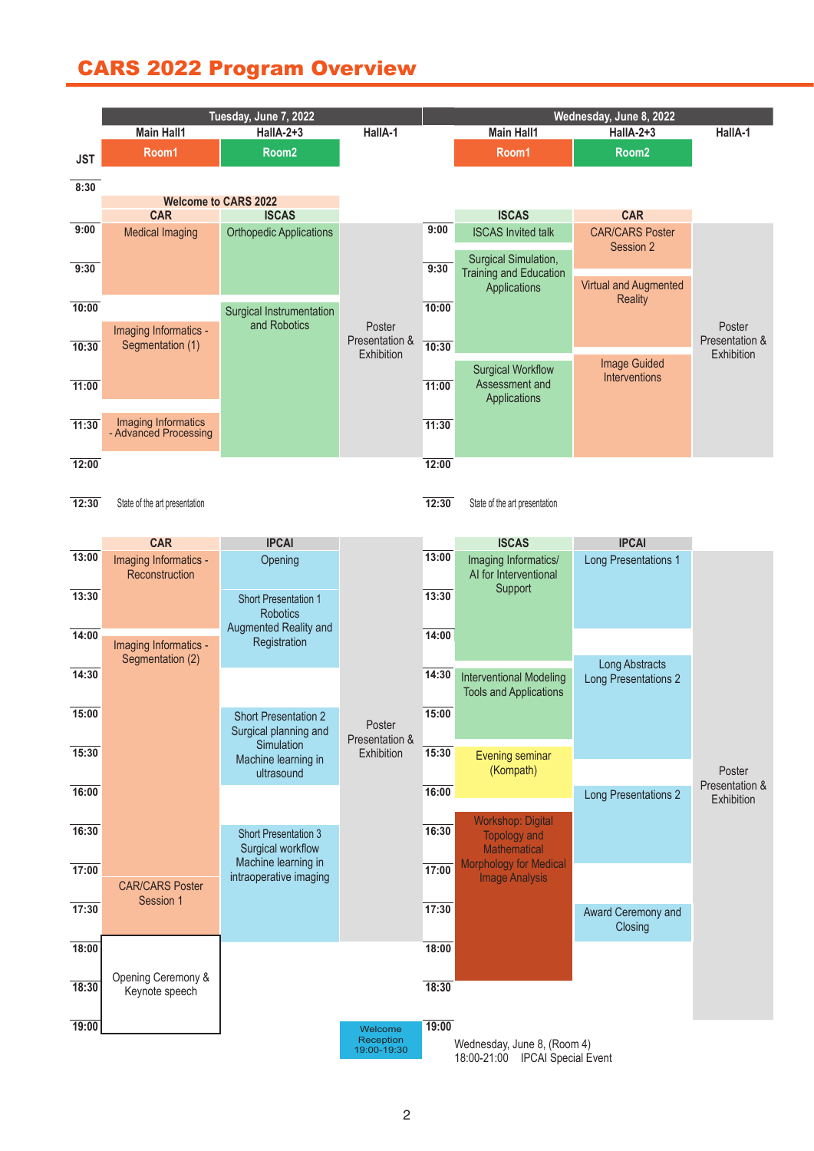## CARS 2022 Program Overview **CARS 2022 Program Overview**

|            | <b>Main Hall1</b>                            | Tuesday, June 7, 2022<br>HallA-2+3       | HallA-1                  |                 | <b>Main Hall1</b>                                              | Wednesday, June 8, 2022<br>HallA-2+3 | HallA-1                      |
|------------|----------------------------------------------|------------------------------------------|--------------------------|-----------------|----------------------------------------------------------------|--------------------------------------|------------------------------|
|            | Room1                                        | Room <sub>2</sub>                        |                          |                 | Room1                                                          | Room <sub>2</sub>                    |                              |
| <b>JST</b> |                                              |                                          |                          |                 |                                                                |                                      |                              |
| 8:30       | <b>Welcome to CARS 2022</b>                  |                                          |                          |                 |                                                                |                                      |                              |
| 9:00       | <b>CAR</b>                                   | <b>ISCAS</b>                             |                          | 9:00            | <b>ISCAS</b>                                                   | <b>CAR</b>                           |                              |
|            | <b>Medical Imaging</b>                       | <b>Orthopedic Applications</b>           |                          |                 | <b>ISCAS</b> Invited talk                                      | <b>CAR/CARS Poster</b><br>Session 2  |                              |
| 9:30       |                                              |                                          |                          | 9:30            | Surgical Simulation,<br><b>Training and Education</b>          |                                      |                              |
|            |                                              |                                          |                          |                 | Applications                                                   | Virtual and Augmented                |                              |
| 10:00      |                                              | Surgical Instrumentation                 |                          | 10:00           |                                                                | Reality                              |                              |
|            | Imaging Informatics -                        | and Robotics                             | Poster<br>Presentation & |                 |                                                                |                                      | Poster<br>Presentation &     |
| 10:30      | Segmentation (1)                             |                                          | Exhibition               | 10:30           |                                                                |                                      | Exhibition                   |
|            |                                              |                                          |                          |                 | <b>Surgical Workflow</b><br>Assessment and                     | <b>Image Guided</b><br>Interventions |                              |
| 11:00      |                                              |                                          |                          | 11:00           | Applications                                                   |                                      |                              |
| 11:30      | Imaging Informatics<br>- Advanced Processing |                                          |                          | 11:30           |                                                                |                                      |                              |
|            |                                              |                                          |                          |                 |                                                                |                                      |                              |
| 12:00      |                                              |                                          |                          | 12:00           |                                                                |                                      |                              |
|            |                                              |                                          |                          |                 |                                                                |                                      |                              |
| 12:30      | State of the art presentation                |                                          |                          | 12:30           | State of the art presentation                                  |                                      |                              |
|            |                                              |                                          |                          |                 |                                                                | <b>IPCAI</b>                         |                              |
| 13:00      | <b>CAR</b><br>Imaging Informatics -          | <b>IPCAI</b><br>Opening                  |                          | 13:00           | <b>ISCAS</b><br>Imaging Informatics/                           | <b>Long Presentations 1</b>          |                              |
|            | Reconstruction                               |                                          |                          |                 | Al for Interventional                                          |                                      |                              |
| 13:30      |                                              | Short Presentation 1                     |                          | 13:30           | Support                                                        |                                      |                              |
|            |                                              | Robotics<br>Augmented Reality and        |                          |                 |                                                                |                                      |                              |
| 14:00      | Imaging Informatics -                        | Registration                             |                          | 14:00           |                                                                |                                      |                              |
|            | Segmentation (2)                             |                                          |                          |                 |                                                                | Long Abstracts                       |                              |
| 14:30      |                                              |                                          |                          |                 | 14:30 Interventional Modeling<br><b>Tools and Applications</b> | <b>Long Presentations 2</b>          |                              |
| 15:00      |                                              | <b>Short Presentation 2</b>              |                          | 15:00           |                                                                |                                      |                              |
|            |                                              | Surgical planning and                    | Poster<br>Presentation & |                 |                                                                |                                      |                              |
| 15:30      |                                              | Simulation<br>Machine learning in        | Exhibition               | 15:30           | Evening seminar                                                |                                      |                              |
|            |                                              | ultrasound                               |                          |                 | (Kompath)                                                      |                                      | Poster                       |
| 16:00      |                                              |                                          |                          | 16:00           |                                                                | <b>Long Presentations 2</b>          | Presentation &<br>Exhibition |
|            |                                              |                                          |                          |                 | Workshop: Digital                                              |                                      |                              |
| 16:30      |                                              | Short Presentation 3                     |                          | 16:30           | Topology and                                                   |                                      |                              |
| 17:00      |                                              | Surgical workflow<br>Machine learning in |                          | $\boxed{17:00}$ | Mathematical<br>Morphology for Medical                         |                                      |                              |
|            | <b>CAR/CARS Poster</b>                       | intraoperative imaging                   |                          |                 | <b>Image Analysis</b>                                          |                                      |                              |
| 17:30      | Session 1                                    |                                          |                          | 17:30           |                                                                | Award Ceremony and                   |                              |
|            |                                              |                                          |                          |                 |                                                                | Closing                              |                              |
| 18:00      |                                              |                                          |                          | 18:00           |                                                                |                                      |                              |
|            | Opening Ceremony &                           |                                          |                          |                 |                                                                |                                      |                              |
| 18:30      | Keynote speech                               |                                          |                          | 18:30           |                                                                |                                      |                              |
|            |                                              |                                          |                          |                 |                                                                |                                      |                              |
| 19:00      |                                              |                                          | Welcome<br>Reception     | 19:00           | Wednesday, June 8, (Room 4)                                    |                                      |                              |
|            |                                              |                                          | 19:00-19:30              |                 | 18:00-21:00 IPCAI Special Event                                |                                      |                              |